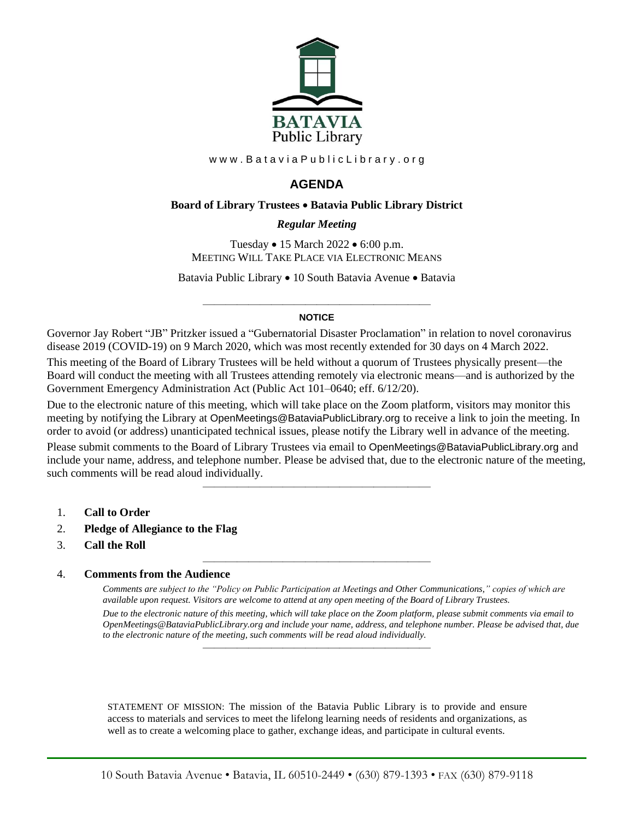

www.BataviaPublicLibrary.org

# **AGENDA**

#### **Board of Library Trustees** • **Batavia Public Library District**

## *0BRegular Meeting*

Tuesday • 15 March 2022 • 6:00 p.m. MEETING WILL TAKE PLACE VIA ELECTRONIC MEANS

Batavia Public Library • 10 South Batavia Avenue • Batavia

#### ———————————————————— **NOTICE**

Governor Jay Robert "JB" Pritzker issued a "Gubernatorial Disaster Proclamation" in relation to novel coronavirus disease 2019 (COVID-19) on 9 March 2020, which was most recently extended for 30 days on 4 March 2022.

This meeting of the Board of Library Trustees will be held without a quorum of Trustees physically present—the Board will conduct the meeting with all Trustees attending remotely via electronic means—and is authorized by the Government Emergency Administration Act (Public Act 101–0640; eff. 6/12/20).

Due to the electronic nature of this meeting, which will take place on the Zoom platform, visitors may monitor this meeting by notifying the Library at OpenMeetings@BataviaPublicLibrary.org to receive a link to join the meeting. In order to avoid (or address) unanticipated technical issues, please notify the Library well in advance of the meeting.

Please submit comments to the Board of Library Trustees via email to OpenMeetings@BataviaPublicLibrary.org and include your name, address, and telephone number. Please be advised that, due to the electronic nature of the meeting, such comments will be read aloud individually.

————————————————————

————————————————————

- 1. **Call to Order**
- 2. **Pledge of Allegiance to the Flag**
- 3. **Call the Roll**

#### 4. **Comments from the Audience**

*Comments are subject to the "Policy on Public Participation at Meetings and Other Communications," copies of which are available upon request. Visitors are welcome to attend at any open meeting of the Board of Library Trustees. Due to the electronic nature of this meeting, which will take place on the Zoom platform, please submit comments via email to OpenMeetings@BataviaPublicLibrary.org and include your name, address, and telephone number. Please be advised that, due to the electronic nature of the meeting, such comments will be read aloud individually.*

STATEMENT OF MISSION: The mission of the Batavia Public Library is to provide and ensure access to materials and services to meet the lifelong learning needs of residents and organizations, as well as to create a welcoming place to gather, exchange ideas, and participate in cultural events.

————————————————————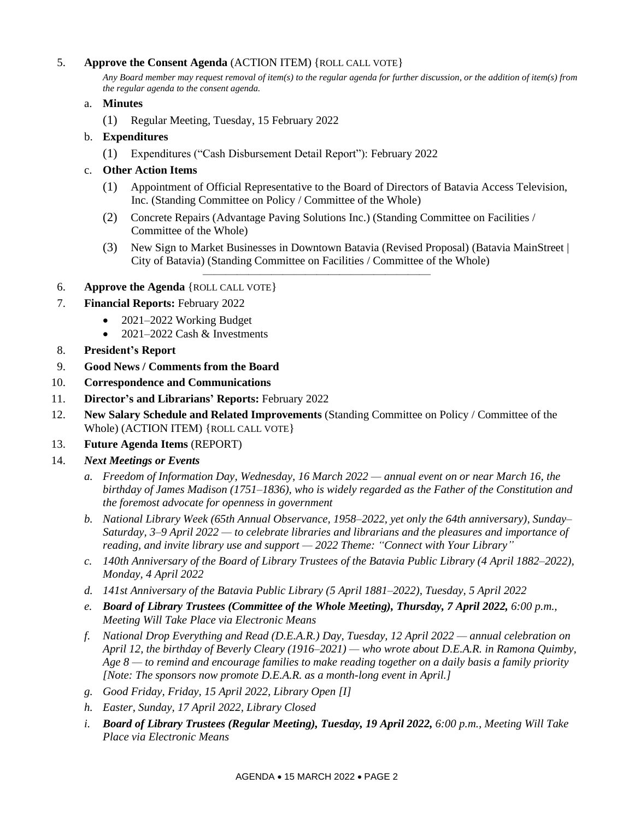# 5. **Approve the Consent Agenda** (ACTION ITEM) {ROLL CALL VOTE}

*Any Board member may request removal of item(s) to the regular agenda for further discussion, or the addition of item(s) from the regular agenda to the consent agenda.*

## a. **Minutes**

(1) Regular Meeting, Tuesday, 15 February 2022

## b. **Expenditures**

(1) Expenditures ("Cash Disbursement Detail Report"): February 2022

# c. **Other Action Items**

- (1) Appointment of Official Representative to the Board of Directors of Batavia Access Television, Inc. (Standing Committee on Policy / Committee of the Whole)
- (2) Concrete Repairs (Advantage Paving Solutions Inc.) (Standing Committee on Facilities / Committee of the Whole)

————————————————————

- (3) New Sign to Market Businesses in Downtown Batavia (Revised Proposal) (Batavia MainStreet | City of Batavia) (Standing Committee on Facilities / Committee of the Whole)
- 6. **Approve the Agenda** {ROLL CALL VOTE}
- 7. **Financial Reports:** February 2022
	- 2021–2022 Working Budget
	- 2021–2022 Cash & Investments
- 8. **President's Report**
- 9. **Good News / Comments from the Board**
- 10. **Correspondence and Communications**
- 11. **Director's and Librarians' Reports:** February 2022
- 12. **New Salary Schedule and Related Improvements** (Standing Committee on Policy / Committee of the Whole) (ACTION ITEM) {ROLL CALL VOTE}

## 13. **Future Agenda Items** (REPORT)

## 14. *Next Meetings or Events*

- *a. Freedom of Information Day, Wednesday, 16 March 2022 — annual event on or near March 16, the birthday of James Madison (1751–1836), who is widely regarded as the Father of the Constitution and the foremost advocate for openness in government*
- *b. National Library Week (65th Annual Observance, 1958–2022, yet only the 64th anniversary), Sunday– Saturday, 3–9 April 2022 — to celebrate libraries and librarians and the pleasures and importance of reading, and invite library use and support — 2022 Theme: "Connect with Your Library"*
- *c. 140th Anniversary of the Board of Library Trustees of the Batavia Public Library (4 April 1882–2022), Monday, 4 April 2022*
- *d. 141st Anniversary of the Batavia Public Library (5 April 1881–2022), Tuesday, 5 April 2022*
- *e. Board of Library Trustees (Committee of the Whole Meeting), Thursday, 7 April 2022, 6:00 p.m., Meeting Will Take Place via Electronic Means*
- *f. National Drop Everything and Read (D.E.A.R.) Day, Tuesday, 12 April 2022 — annual celebration on April 12, the birthday of Beverly Cleary (1916–2021) — who wrote about D.E.A.R. in Ramona Quimby, Age 8 — to remind and encourage families to make reading together on a daily basis a family priority [Note: The sponsors now promote D.E.A.R. as a month-long event in April.]*
- *g. Good Friday, Friday, 15 April 2022, Library Open [I]*
- *h. Easter, Sunday, 17 April 2022, Library Closed*
- *i. Board of Library Trustees (Regular Meeting), Tuesday, 19 April 2022, 6:00 p.m., Meeting Will Take Place via Electronic Means*